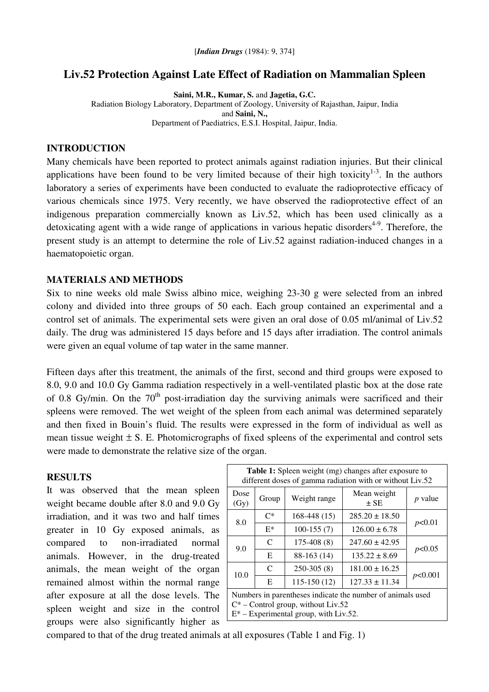# **Liv.52 Protection Against Late Effect of Radiation on Mammalian Spleen**

**Saini, M.R., Kumar, S.** and **Jagetia, G.C.** Radiation Biology Laboratory, Department of Zoology, University of Rajasthan, Jaipur, India and **Saini, N.,** Department of Paediatrics, E.S.I. Hospital, Jaipur, India.

## **INTRODUCTION**

Many chemicals have been reported to protect animals against radiation injuries. But their clinical applications have been found to be very limited because of their high toxicity $1-3$ . In the authors laboratory a series of experiments have been conducted to evaluate the radioprotective efficacy of various chemicals since 1975. Very recently, we have observed the radioprotective effect of an indigenous preparation commercially known as Liv.52, which has been used clinically as a detoxicating agent with a wide range of applications in various hepatic disorders<sup>4-9</sup>. Therefore, the present study is an attempt to determine the role of Liv.52 against radiation-induced changes in a haematopoietic organ.

## **MATERIALS AND METHODS**

Six to nine weeks old male Swiss albino mice, weighing 23-30 g were selected from an inbred colony and divided into three groups of 50 each. Each group contained an experimental and a control set of animals. The experimental sets were given an oral dose of 0.05 ml/animal of Liv.52 daily. The drug was administered 15 days before and 15 days after irradiation. The control animals were given an equal volume of tap water in the same manner.

Fifteen days after this treatment, the animals of the first, second and third groups were exposed to 8.0, 9.0 and 10.0 Gy Gamma radiation respectively in a well-ventilated plastic box at the dose rate of 0.8 Gy/min. On the  $70<sup>th</sup>$  post-irradiation day the surviving animals were sacrificed and their spleens were removed. The wet weight of the spleen from each animal was determined separately and then fixed in Bouin's fluid. The results were expressed in the form of individual as well as mean tissue weight  $\pm$  S. E. Photomicrographs of fixed spleens of the experimental and control sets were made to demonstrate the relative size of the organ.

#### **RESULTS**

It was observed that the mean spleen weight became double after 8.0 and 9.0 Gy irradiation, and it was two and half times greater in 10 Gy exposed animals, as compared to non-irradiated normal animals. However, in the drug-treated animals, the mean weight of the organ remained almost within the normal range after exposure at all the dose levels. The spleen weight and size in the control groups were also significantly higher as

| <b>Table 1:</b> Spleen weight (mg) changes after exposure to<br>different doses of gamma radiation with or without Liv.52                       |               |               |                         |                |
|-------------------------------------------------------------------------------------------------------------------------------------------------|---------------|---------------|-------------------------|----------------|
| Dose<br>(Gy)                                                                                                                                    | Group         | Weight range  | Mean weight<br>$\pm$ SE | <i>p</i> value |
| 8.0                                                                                                                                             | $C^*$         | $168-448(15)$ | $285.20 \pm 18.50$      | p<0.01         |
|                                                                                                                                                 | $E^*$         | $100-155(7)$  | $126.00 \pm 6.78$       |                |
| 9.0                                                                                                                                             | $\mathcal{C}$ | $175-408(8)$  | $247.60 \pm 42.95$      | p<0.05         |
|                                                                                                                                                 | E             | 88-163 (14)   | $135.22 \pm 8.69$       |                |
| 10.0                                                                                                                                            | C             | $250-305(8)$  | $181.00 \pm 16.25$      | p<0.001        |
|                                                                                                                                                 | E             | $115-150(12)$ | $127.33 \pm 11.34$      |                |
| Numbers in parentheses indicate the number of animals used<br>$C^*$ – Control group, without Liv.52<br>$E^*$ – Experimental group, with Liv.52. |               |               |                         |                |

compared to that of the drug treated animals at all exposures (Table 1 and Fig. 1)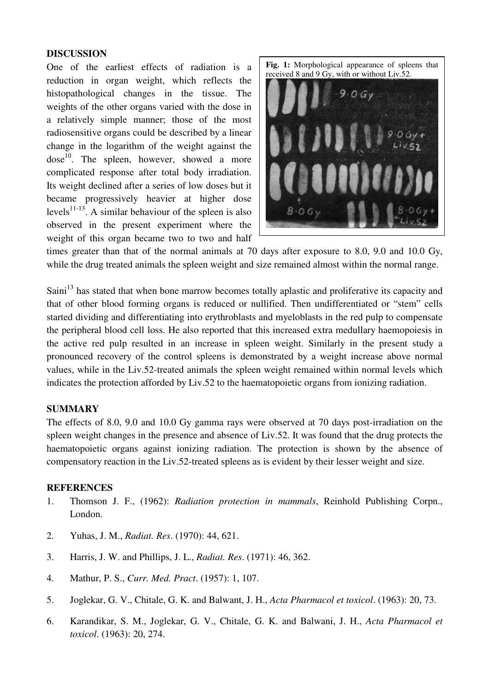## **DISCUSSION**

One of the earliest effects of radiation is a reduction in organ weight, which reflects the histopathological changes in the tissue. The weights of the other organs varied with the dose in a relatively simple manner; those of the most radiosensitive organs could be described by a linear change in the logarithm of the weight against the dose<sup>10</sup>. The spleen, however, showed a more complicated response after total body irradiation. Its weight declined after a series of low doses but it became progressively heavier at higher dose levels<sup>11-13</sup>. A similar behaviour of the spleen is also observed in the present experiment where the weight of this organ became two to two and half **Fig. 1:** Morphological appearance of spleens that received 8 and 9 Gy, with or without Liv.52.



times greater than that of the normal animals at 70 days after exposure to 8.0, 9.0 and 10.0 Gy, while the drug treated animals the spleen weight and size remained almost within the normal range.

Saini<sup>13</sup> has stated that when bone marrow becomes totally aplastic and proliferative its capacity and that of other blood forming organs is reduced or nullified. Then undifferentiated or "stem" cells started dividing and differentiating into erythroblasts and myeloblasts in the red pulp to compensate the peripheral blood cell loss. He also reported that this increased extra medullary haemopoiesis in the active red pulp resulted in an increase in spleen weight. Similarly in the present study a pronounced recovery of the control spleens is demonstrated by a weight increase above normal values, while in the Liv.52-treated animals the spleen weight remained within normal levels which indicates the protection afforded by Liv.52 to the haematopoietic organs from ionizing radiation.

### **SUMMARY**

The effects of 8.0, 9.0 and 10.0 Gy gamma rays were observed at 70 days post-irradiation on the spleen weight changes in the presence and absence of Liv.52. It was found that the drug protects the haematopoietic organs against ionizing radiation. The protection is shown by the absence of compensatory reaction in the Liv.52-treated spleens as is evident by their lesser weight and size.

#### **REFERENCES**

- 1. Thomson J. F., (1962): *Radiation protection in mammals*, Reinhold Publishing Corpn., London.
- 2. Yuhas, J. M., *Radiat. Res*. (1970): 44, 621.
- 3. Harris, J. W. and Phillips, J. L., *Radiat. Res*. (1971): 46, 362.
- 4. Mathur, P. S., *Curr. Med. Pract*. (1957): 1, 107.
- 5. Joglekar, G. V., Chitale, G. K. and Balwant, J. H., *Acta Pharmacol et toxicol*. (1963): 20, 73.
- 6. Karandikar, S. M., Joglekar, G. V., Chitale, G. K. and Balwani, J. H., *Acta Pharmacol et toxicol*. (1963): 20, 274.